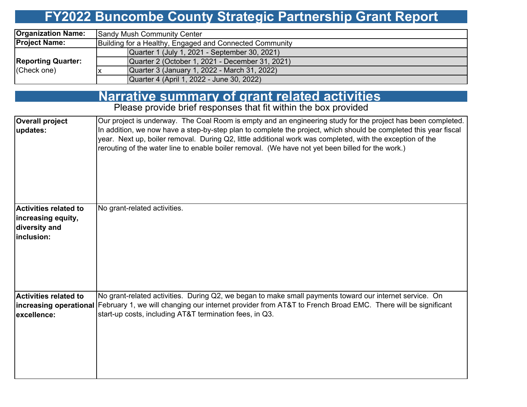# **FY2022 Buncombe County Strategic Partnership Grant Report**

| <b>Organization Name:</b> | Sandy Mush Community Center                             |  |  |  |  |  |
|---------------------------|---------------------------------------------------------|--|--|--|--|--|
| <b>Project Name:</b>      | Building for a Healthy, Engaged and Connected Community |  |  |  |  |  |
|                           | Quarter 1 (July 1, 2021 - September 30, 2021)           |  |  |  |  |  |
| <b>Reporting Quarter:</b> | Quarter 2 (October 1, 2021 - December 31, 2021)         |  |  |  |  |  |
| (Check one)               | Quarter 3 (January 1, 2022 - March 31, 2022)            |  |  |  |  |  |
|                           | Quarter 4 (April 1, 2022 - June 30, 2022)               |  |  |  |  |  |

# **Narrative summary of grant related activities**

Please provide brief responses that fit within the box provided

| <b>Overall project</b><br>updates:                                                | Our project is underway. The Coal Room is empty and an engineering study for the project has been completed.<br>In addition, we now have a step-by-step plan to complete the project, which should be completed this year fiscal<br>year. Next up, boiler removal. During Q2, little additional work was completed, with the exception of the<br>rerouting of the water line to enable boiler removal. (We have not yet been billed for the work.) |
|-----------------------------------------------------------------------------------|----------------------------------------------------------------------------------------------------------------------------------------------------------------------------------------------------------------------------------------------------------------------------------------------------------------------------------------------------------------------------------------------------------------------------------------------------|
| <b>Activities related to</b><br>increasing equity,<br>diversity and<br>inclusion: | No grant-related activities.                                                                                                                                                                                                                                                                                                                                                                                                                       |
| Activities related to<br>lexcellence:                                             | No grant-related activities. During Q2, we began to make small payments toward our internet service. On<br>increasing operational February 1, we will changing our internet provider from AT&T to French Broad EMC. There will be significant<br>start-up costs, including AT&T termination fees, in Q3.                                                                                                                                           |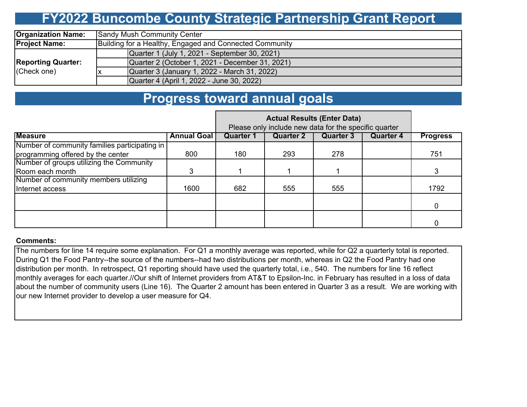## **FY2022 Buncombe County Strategic Partnership Grant Report**

| <b>Organization Name:</b> | <b>Sandy Mush Community Center</b>                      |  |  |  |  |  |  |
|---------------------------|---------------------------------------------------------|--|--|--|--|--|--|
| <b>Project Name:</b>      | Building for a Healthy, Engaged and Connected Community |  |  |  |  |  |  |
|                           | Quarter 1 (July 1, 2021 - September 30, 2021)           |  |  |  |  |  |  |
| <b>Reporting Quarter:</b> | Quarter 2 (October 1, 2021 - December 31, 2021)         |  |  |  |  |  |  |
| (Check one)               | Quarter 3 (January 1, 2022 - March 31, 2022)            |  |  |  |  |  |  |
|                           | Quarter 4 (April 1, 2022 - June 30, 2022)               |  |  |  |  |  |  |

### **Progress toward annual goals**

|                                               | Please only include new data for the specific quarter |                  |                  |                  |                  |                 |
|-----------------------------------------------|-------------------------------------------------------|------------------|------------------|------------------|------------------|-----------------|
| <b>Measure</b>                                | <b>Annual Goal</b>                                    | <b>Quarter 1</b> | <b>Quarter 2</b> | <b>Quarter 3</b> | <b>Quarter 4</b> | <b>Progress</b> |
| Number of community families participating in |                                                       |                  |                  |                  |                  |                 |
| programming offered by the center             | 800                                                   | 180              | 293              | 278              |                  | 751             |
| Number of groups utilizing the Community      |                                                       |                  |                  |                  |                  |                 |
| Room each month                               |                                                       |                  |                  |                  |                  |                 |
| Number of community members utilizing         |                                                       |                  |                  |                  |                  |                 |
| Internet access                               | 1600                                                  | 682              | 555              | 555              |                  | 1792            |
|                                               |                                                       |                  |                  |                  |                  |                 |
|                                               |                                                       |                  |                  |                  |                  | $\Omega$        |
|                                               |                                                       |                  |                  |                  |                  |                 |
|                                               |                                                       |                  |                  |                  |                  |                 |

#### **Comments:**

The numbers for line 14 require some explanation. For Q1 a monthly average was reported, while for Q2 a quarterly total is reported. During Q1 the Food Pantry--the source of the numbers--had two distributions per month, whereas in Q2 the Food Pantry had one distribution per month. In retrospect, Q1 reporting should have used the quarterly total, i.e., 540. The numbers for line 16 reflect monthly averages for each quarter.//Our shift of Internet providers from AT&T to Epsilon-Inc. in February has resulted in a loss of data about the number of community users (Line 16). The Quarter 2 amount has been entered in Quarter 3 as a result. We are working with our new Internet provider to develop a user measure for Q4.